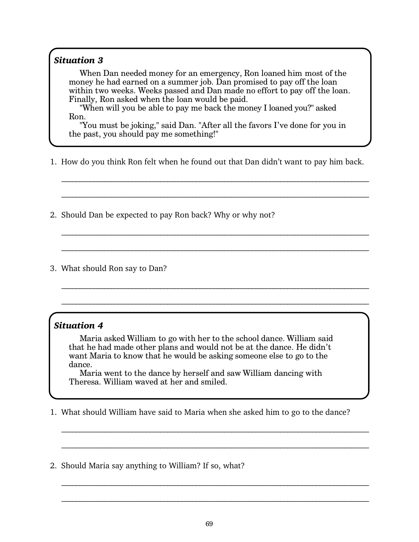## *Situation 3*

When Dan needed money for an emergency, Ron loaned him most of the money he had earned on a summer job. Dan promised to pay off the loan within two weeks. Weeks passed and Dan made no effort to pay off the loan. Finally, Ron asked when the loan would be paid.

"When will you be able to pay me back the money I loaned you?" asked Ron.

"You must be joking," said Dan. "After all the favors I've done for you in the past, you should pay me something!"

1. How do you think Ron felt when he found out that Dan didn't want to pay him back.

\_\_\_\_\_\_\_\_\_\_\_\_\_\_\_\_\_\_\_\_\_\_\_\_\_\_\_\_\_\_\_\_\_\_\_\_\_\_\_\_\_\_\_\_\_\_\_\_\_\_\_\_\_\_\_\_\_\_\_\_\_\_\_\_\_\_\_\_\_\_\_\_\_\_\_\_\_\_\_\_\_\_\_\_\_\_\_

\_\_\_\_\_\_\_\_\_\_\_\_\_\_\_\_\_\_\_\_\_\_\_\_\_\_\_\_\_\_\_\_\_\_\_\_\_\_\_\_\_\_\_\_\_\_\_\_\_\_\_\_\_\_\_\_\_\_\_\_\_\_\_\_\_\_\_\_\_\_\_\_\_\_\_\_\_\_\_\_\_\_\_\_\_\_\_

\_\_\_\_\_\_\_\_\_\_\_\_\_\_\_\_\_\_\_\_\_\_\_\_\_\_\_\_\_\_\_\_\_\_\_\_\_\_\_\_\_\_\_\_\_\_\_\_\_\_\_\_\_\_\_\_\_\_\_\_\_\_\_\_\_\_\_\_\_\_\_\_\_\_\_\_\_\_\_\_\_\_\_\_\_\_\_

\_\_\_\_\_\_\_\_\_\_\_\_\_\_\_\_\_\_\_\_\_\_\_\_\_\_\_\_\_\_\_\_\_\_\_\_\_\_\_\_\_\_\_\_\_\_\_\_\_\_\_\_\_\_\_\_\_\_\_\_\_\_\_\_\_\_\_\_\_\_\_\_\_\_\_\_\_\_\_\_\_\_\_\_\_\_\_

\_\_\_\_\_\_\_\_\_\_\_\_\_\_\_\_\_\_\_\_\_\_\_\_\_\_\_\_\_\_\_\_\_\_\_\_\_\_\_\_\_\_\_\_\_\_\_\_\_\_\_\_\_\_\_\_\_\_\_\_\_\_\_\_\_\_\_\_\_\_\_\_\_\_\_\_\_\_\_\_\_\_\_\_\_\_\_

\_\_\_\_\_\_\_\_\_\_\_\_\_\_\_\_\_\_\_\_\_\_\_\_\_\_\_\_\_\_\_\_\_\_\_\_\_\_\_\_\_\_\_\_\_\_\_\_\_\_\_\_\_\_\_\_\_\_\_\_\_\_\_\_\_\_\_\_\_\_\_\_\_\_\_\_\_\_\_\_\_\_\_\_\_\_\_

2. Should Dan be expected to pay Ron back? Why or why not?

3. What should Ron say to Dan?

## *Situation 4*

Maria asked William to go with her to the school dance. William said that he had made other plans and would not be at the dance. He didn't want Maria to know that he would be asking someone else to go to the dance.

Maria went to the dance by herself and saw William dancing with Theresa. William waved at her and smiled.

1. What should William have said to Maria when she asked him to go to the dance?

\_\_\_\_\_\_\_\_\_\_\_\_\_\_\_\_\_\_\_\_\_\_\_\_\_\_\_\_\_\_\_\_\_\_\_\_\_\_\_\_\_\_\_\_\_\_\_\_\_\_\_\_\_\_\_\_\_\_\_\_\_\_\_\_\_\_\_\_\_\_\_\_\_\_\_\_\_\_\_\_\_\_\_\_\_\_\_

\_\_\_\_\_\_\_\_\_\_\_\_\_\_\_\_\_\_\_\_\_\_\_\_\_\_\_\_\_\_\_\_\_\_\_\_\_\_\_\_\_\_\_\_\_\_\_\_\_\_\_\_\_\_\_\_\_\_\_\_\_\_\_\_\_\_\_\_\_\_\_\_\_\_\_\_\_\_\_\_\_\_\_\_\_\_\_

\_\_\_\_\_\_\_\_\_\_\_\_\_\_\_\_\_\_\_\_\_\_\_\_\_\_\_\_\_\_\_\_\_\_\_\_\_\_\_\_\_\_\_\_\_\_\_\_\_\_\_\_\_\_\_\_\_\_\_\_\_\_\_\_\_\_\_\_\_\_\_\_\_\_\_\_\_\_\_\_\_\_\_\_\_\_\_

\_\_\_\_\_\_\_\_\_\_\_\_\_\_\_\_\_\_\_\_\_\_\_\_\_\_\_\_\_\_\_\_\_\_\_\_\_\_\_\_\_\_\_\_\_\_\_\_\_\_\_\_\_\_\_\_\_\_\_\_\_\_\_\_\_\_\_\_\_\_\_\_\_\_\_\_\_\_\_\_\_\_\_\_\_\_\_

2. Should Maria say anything to William? If so, what?